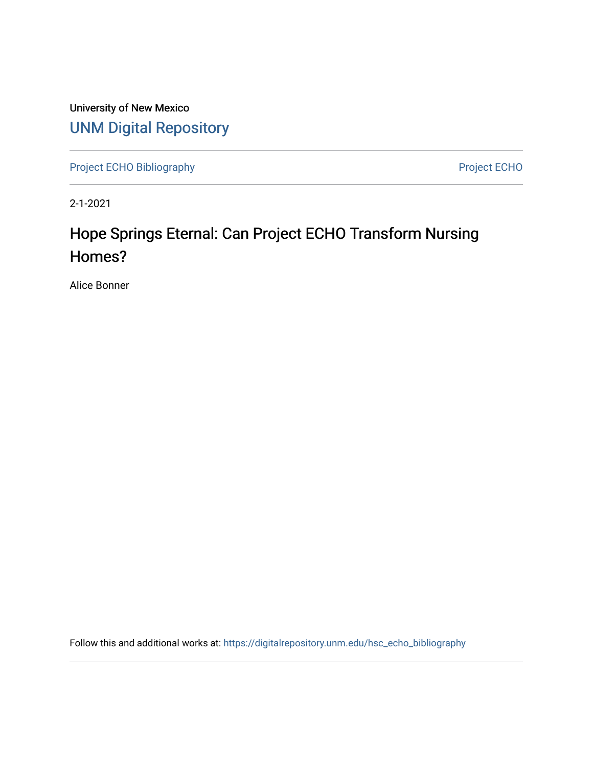University of New Mexico [UNM Digital Repository](https://digitalrepository.unm.edu/) 

[Project ECHO Bibliography](https://digitalrepository.unm.edu/hsc_echo_bibliography) **Project ECHO** 

2-1-2021

# Hope Springs Eternal: Can Project ECHO Transform Nursing Homes?

Alice Bonner

Follow this and additional works at: [https://digitalrepository.unm.edu/hsc\\_echo\\_bibliography](https://digitalrepository.unm.edu/hsc_echo_bibliography?utm_source=digitalrepository.unm.edu%2Fhsc_echo_bibliography%2F25&utm_medium=PDF&utm_campaign=PDFCoverPages)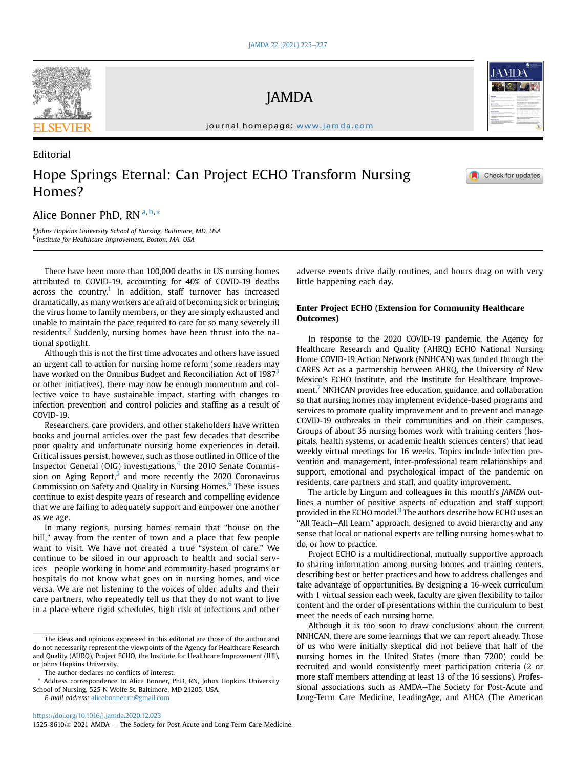

Editorial

JAMDA

journal homepage: [www.jamda.com](http://www.jamda.com)

## Hope Springs Eternal: Can Project ECHO Transform Nursing Homes?

Check for updates

AME

Alice Bonner PhD, RN <sup>[a,](#page-1-0) [b](#page-1-1), [\\*](#page-1-2)</sup>

<span id="page-1-1"></span><span id="page-1-0"></span><sup>a</sup> Johns Hopkins University School of Nursing, Baltimore, MD, USA b Institute for Healthcare Improvement, Boston, MA, USA

There have been more than 100,000 deaths in US nursing homes attributed to COVID-19, accounting for 40% of COVID-19 deaths across the country.<sup>1</sup> In addition, staff turnover has increased dramatically, as many workers are afraid of becoming sick or bringing the virus home to family members, or they are simply exhausted and unable to maintain the pace required to care for so many severely ill residents.<sup>[2](#page-3-1)</sup> Suddenly, nursing homes have been thrust into the national spotlight.

Although this is not the first time advocates and others have issued an urgent call to action for nursing home reform (some readers may have worked on the Omnibus Budget and Reconciliation Act of  $1987<sup>3</sup>$ or other initiatives), there may now be enough momentum and collective voice to have sustainable impact, starting with changes to infection prevention and control policies and staffing as a result of COVID-19.

Researchers, care providers, and other stakeholders have written books and journal articles over the past few decades that describe poor quality and unfortunate nursing home experiences in detail. Critical issues persist, however, such as those outlined in Office of the Inspector General (OIG) investigations, $4$  the 2010 Senate Commission on Aging Report, $5$  and more recently the 2020 Coronavirus Commission on Safety and Quality in Nursing Homes.<sup>[6](#page-3-5)</sup> These issues continue to exist despite years of research and compelling evidence that we are failing to adequately support and empower one another as we age.

In many regions, nursing homes remain that "house on the hill," away from the center of town and a place that few people want to visit. We have not created a true "system of care." We continue to be siloed in our approach to health and social services-people working in home and community-based programs or hospitals do not know what goes on in nursing homes, and vice versa. We are not listening to the voices of older adults and their care partners, who repeatedly tell us that they do not want to live in a place where rigid schedules, high risk of infections and other

adverse events drive daily routines, and hours drag on with very little happening each day.

## Enter Project ECHO (Extension for Community Healthcare Outcomes)

In response to the 2020 COVID-19 pandemic, the Agency for Healthcare Research and Quality (AHRQ) ECHO National Nursing Home COVID-19 Action Network (NNHCAN) was funded through the CARES Act as a partnership between AHRQ, the University of New Mexico's ECHO Institute, and the Institute for Healthcare Improvement.<sup>7</sup> NNHCAN provides free education, guidance, and collaboration so that nursing homes may implement evidence-based programs and services to promote quality improvement and to prevent and manage COVID-19 outbreaks in their communities and on their campuses. Groups of about 35 nursing homes work with training centers (hospitals, health systems, or academic health sciences centers) that lead weekly virtual meetings for 16 weeks. Topics include infection prevention and management, inter-professional team relationships and support, emotional and psychological impact of the pandemic on residents, care partners and staff, and quality improvement.

The article by Lingum and colleagues in this month's JAMDA outlines a number of positive aspects of education and staff support provided in the ECHO model.<sup>[8](#page-3-7)</sup> The authors describe how ECHO uses an "All Teach–All Learn" approach, designed to avoid hierarchy and any sense that local or national experts are telling nursing homes what to do, or how to practice.

Project ECHO is a multidirectional, mutually supportive approach to sharing information among nursing homes and training centers, describing best or better practices and how to address challenges and take advantage of opportunities. By designing a 16-week curriculum with 1 virtual session each week, faculty are given flexibility to tailor content and the order of presentations within the curriculum to best meet the needs of each nursing home.

Although it is too soon to draw conclusions about the current NNHCAN, there are some learnings that we can report already. Those of us who were initially skeptical did not believe that half of the nursing homes in the United States (more than 7200) could be recruited and would consistently meet participation criteria (2 or more staff members attending at least 13 of the 16 sessions). Professional associations such as AMDA-The Society for Post-Acute and Long-Term Care Medicine, LeadingAge, and AHCA (The American

The ideas and opinions expressed in this editorial are those of the author and do not necessarily represent the viewpoints of the Agency for Healthcare Research and Quality (AHRQ), Project ECHO, the Institute for Healthcare Improvement (IHI), or Johns Hopkins University.

The author declares no conflicts of interest.

<span id="page-1-2"></span>Address correspondence to Alice Bonner, PhD, RN, Johns Hopkins University School of Nursing, 525 N Wolfe St, Baltimore, MD 21205, USA.

E-mail address: [alicebonner.rn@gmail.com](mailto:alicebonner.rn@gmail.com)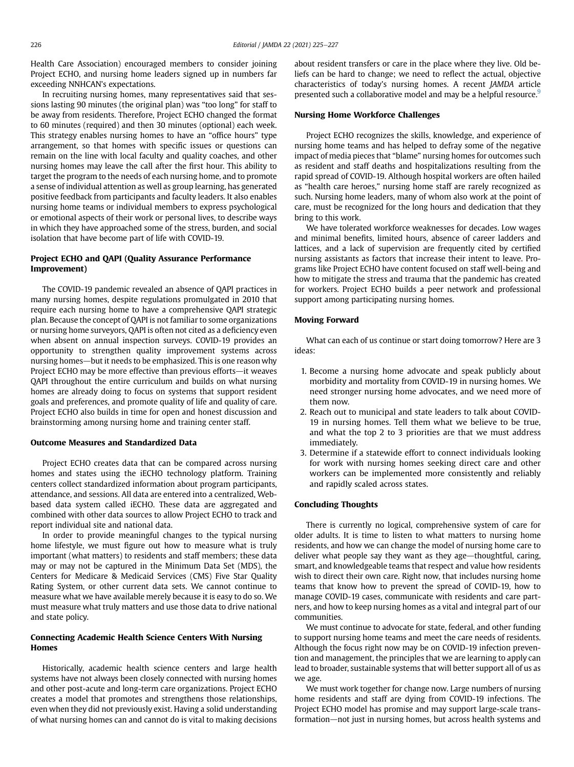Health Care Association) encouraged members to consider joining Project ECHO, and nursing home leaders signed up in numbers far exceeding NNHCAN's expectations.

In recruiting nursing homes, many representatives said that sessions lasting 90 minutes (the original plan) was "too long" for staff to be away from residents. Therefore, Project ECHO changed the format to 60 minutes (required) and then 30 minutes (optional) each week. This strategy enables nursing homes to have an "office hours" type arrangement, so that homes with specific issues or questions can remain on the line with local faculty and quality coaches, and other nursing homes may leave the call after the first hour. This ability to target the program to the needs of each nursing home, and to promote a sense of individual attention as well as group learning, has generated positive feedback from participants and faculty leaders. It also enables nursing home teams or individual members to express psychological or emotional aspects of their work or personal lives, to describe ways in which they have approached some of the stress, burden, and social isolation that have become part of life with COVID-19.

## Project ECHO and QAPI (Quality Assurance Performance Improvement)

The COVID-19 pandemic revealed an absence of QAPI practices in many nursing homes, despite regulations promulgated in 2010 that require each nursing home to have a comprehensive QAPI strategic plan. Because the concept of QAPI is not familiar to some organizations or nursing home surveyors, QAPI is often not cited as a deficiency even when absent on annual inspection surveys. COVID-19 provides an opportunity to strengthen quality improvement systems across nursing homes—but it needs to be emphasized. This is one reason why Project ECHO may be more effective than previous efforts-it weaves QAPI throughout the entire curriculum and builds on what nursing homes are already doing to focus on systems that support resident goals and preferences, and promote quality of life and quality of care. Project ECHO also builds in time for open and honest discussion and brainstorming among nursing home and training center staff.

#### Outcome Measures and Standardized Data

Project ECHO creates data that can be compared across nursing homes and states using the iECHO technology platform. Training centers collect standardized information about program participants, attendance, and sessions. All data are entered into a centralized, Webbased data system called iECHO. These data are aggregated and combined with other data sources to allow Project ECHO to track and report individual site and national data.

In order to provide meaningful changes to the typical nursing home lifestyle, we must figure out how to measure what is truly important (what matters) to residents and staff members; these data may or may not be captured in the Minimum Data Set (MDS), the Centers for Medicare & Medicaid Services (CMS) Five Star Quality Rating System, or other current data sets. We cannot continue to measure what we have available merely because it is easy to do so. We must measure what truly matters and use those data to drive national and state policy.

## Connecting Academic Health Science Centers With Nursing **Homes**

Historically, academic health science centers and large health systems have not always been closely connected with nursing homes and other post-acute and long-term care organizations. Project ECHO creates a model that promotes and strengthens those relationships, even when they did not previously exist. Having a solid understanding of what nursing homes can and cannot do is vital to making decisions about resident transfers or care in the place where they live. Old beliefs can be hard to change; we need to reflect the actual, objective characteristics of today's nursing homes. A recent JAMDA article presented such a collaborative model and may be a helpful resource.<sup>[9](#page-3-8)</sup>

#### Nursing Home Workforce Challenges

Project ECHO recognizes the skills, knowledge, and experience of nursing home teams and has helped to defray some of the negative impact of media pieces that "blame" nursing homes for outcomes such as resident and staff deaths and hospitalizations resulting from the rapid spread of COVID-19. Although hospital workers are often hailed as "health care heroes," nursing home staff are rarely recognized as such. Nursing home leaders, many of whom also work at the point of care, must be recognized for the long hours and dedication that they bring to this work.

We have tolerated workforce weaknesses for decades. Low wages and minimal benefits, limited hours, absence of career ladders and lattices, and a lack of supervision are frequently cited by certified nursing assistants as factors that increase their intent to leave. Programs like Project ECHO have content focused on staff well-being and how to mitigate the stress and trauma that the pandemic has created for workers. Project ECHO builds a peer network and professional support among participating nursing homes.

### Moving Forward

What can each of us continue or start doing tomorrow? Here are 3 ideas:

- 1. Become a nursing home advocate and speak publicly about morbidity and mortality from COVID-19 in nursing homes. We need stronger nursing home advocates, and we need more of them now.
- 2. Reach out to municipal and state leaders to talk about COVID-19 in nursing homes. Tell them what we believe to be true, and what the top 2 to 3 priorities are that we must address immediately.
- 3. Determine if a statewide effort to connect individuals looking for work with nursing homes seeking direct care and other workers can be implemented more consistently and reliably and rapidly scaled across states.

#### Concluding Thoughts

There is currently no logical, comprehensive system of care for older adults. It is time to listen to what matters to nursing home residents, and how we can change the model of nursing home care to deliver what people say they want as they age—thoughtful, caring, smart, and knowledgeable teams that respect and value how residents wish to direct their own care. Right now, that includes nursing home teams that know how to prevent the spread of COVID-19, how to manage COVID-19 cases, communicate with residents and care partners, and how to keep nursing homes as a vital and integral part of our communities.

We must continue to advocate for state, federal, and other funding to support nursing home teams and meet the care needs of residents. Although the focus right now may be on COVID-19 infection prevention and management, the principles that we are learning to apply can lead to broader, sustainable systems that will better support all of us as we age.

We must work together for change now. Large numbers of nursing home residents and staff are dying from COVID-19 infections. The Project ECHO model has promise and may support large-scale transformation—not just in nursing homes, but across health systems and